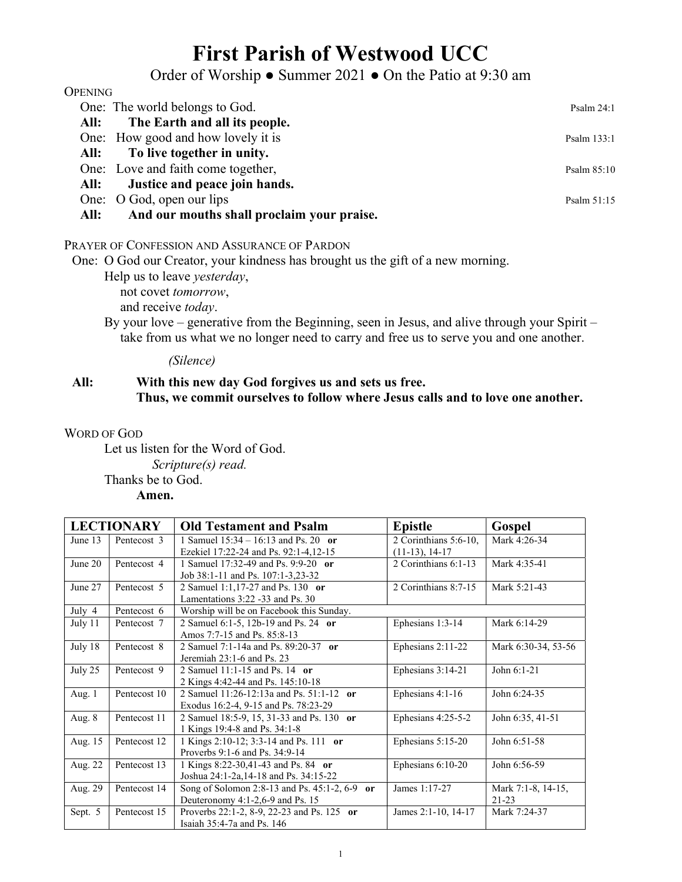# First Parish of Westwood UCC

# Order of Worship ● Summer 2021 ● On the Patio at 9:30 am

| <b>OPENING</b> |                                            |               |
|----------------|--------------------------------------------|---------------|
|                | One: The world belongs to God.             | Psalm $24:1$  |
| All:           | The Earth and all its people.              |               |
|                | One: How good and how lovely it is         | Psalm 133:1   |
| All:           | To live together in unity.                 |               |
|                | One: Love and faith come together,         | Psalm $85:10$ |
| All:           | Justice and peace join hands.              |               |
|                | One: O God, open our lips                  | Psalm 51:15   |
| All:           | And our mouths shall proclaim your praise. |               |

#### PRAYER OF CONFESSION AND ASSURANCE OF PARDON

One: O God our Creator, your kindness has brought us the gift of a new morning.

Help us to leave yesterday,

not covet tomorrow,

and receive today.

By your love – generative from the Beginning, seen in Jesus, and alive through your Spirit – take from us what we no longer need to carry and free us to serve you and one another.

#### (Silence)

## All: With this new day God forgives us and sets us free. Thus, we commit ourselves to follow where Jesus calls and to love one another.

#### WORD OF GOD

Let us listen for the Word of God. Scripture(s) read. Thanks be to God. Amen.

| <b>LECTIONARY</b> |              | <b>Old Testament and Psalm</b>                             | <b>Epistle</b>        | Gospel              |
|-------------------|--------------|------------------------------------------------------------|-----------------------|---------------------|
| June 13           | Pentecost 3  | 1 Samuel $15:34 - 16:13$ and Ps. 20 or                     | 2 Corinthians 5:6-10, | Mark 4:26-34        |
|                   |              | Ezekiel 17:22-24 and Ps. 92:1-4,12-15                      | $(11-13), 14-17$      |                     |
| June 20           | Pentecost 4  | 1 Samuel 17:32-49 and Ps. 9:9-20 or                        | 2 Corinthians 6:1-13  | Mark 4:35-41        |
|                   |              | Job 38:1-11 and Ps. 107:1-3,23-32                          |                       |                     |
| June 27           | Pentecost 5  | 2 Samuel 1:1,17-27 and Ps. 130 or                          | 2 Corinthians 8:7-15  | Mark 5:21-43        |
|                   |              | Lamentations 3:22 -33 and Ps. 30                           |                       |                     |
| July 4            | Pentecost 6  | Worship will be on Facebook this Sunday.                   |                       |                     |
| July 11           | Pentecost 7  | 2 Samuel 6:1-5, 12b-19 and Ps. 24 or                       | Ephesians 1:3-14      | Mark 6:14-29        |
|                   |              | Amos 7:7-15 and Ps. 85:8-13                                |                       |                     |
| July 18           | Pentecost 8  | 2 Samuel 7:1-14a and Ps. 89:20-37 or                       | Ephesians 2:11-22     | Mark 6:30-34, 53-56 |
|                   |              | Jeremiah 23:1-6 and Ps. 23                                 |                       |                     |
| July 25           | Pentecost 9  | 2 Samuel 11:1-15 and Ps. 14 or                             | Ephesians 3:14-21     | John 6:1-21         |
|                   |              | 2 Kings 4:42-44 and Ps. 145:10-18                          |                       |                     |
| Aug. 1            | Pentecost 10 | 2 Samuel $11:26-12:13a$ and Ps. $51:1-12$<br><sub>or</sub> | Ephesians 4:1-16      | John 6:24-35        |
|                   |              | Exodus 16:2-4, 9-15 and Ps. 78:23-29                       |                       |                     |
| Aug. 8            | Pentecost 11 | 2 Samuel 18:5-9, 15, 31-33 and Ps. 130 or                  | Ephesians 4:25-5-2    | John 6:35, 41-51    |
|                   |              | 1 Kings 19:4-8 and Ps. 34:1-8                              |                       |                     |
| Aug. 15           | Pentecost 12 | 1 Kings 2:10-12; 3:3-14 and Ps. 111 or                     | Ephesians 5:15-20     | John 6:51-58        |
|                   |              | Proverbs 9:1-6 and Ps. 34:9-14                             |                       |                     |
| Aug. 22           | Pentecost 13 | 1 Kings 8:22-30,41-43 and Ps. 84 or                        | Ephesians 6:10-20     | John 6:56-59        |
|                   |              | Joshua 24:1-2a,14-18 and Ps. 34:15-22                      |                       |                     |
| Aug. 29           | Pentecost 14 | Song of Solomon 2:8-13 and Ps. 45:1-2, 6-9 or              | James 1:17-27         | Mark 7:1-8, 14-15,  |
|                   |              | Deuteronomy 4:1-2,6-9 and Ps. 15                           |                       | $21 - 23$           |
| Sept. 5           | Pentecost 15 | Proverbs 22:1-2, 8-9, 22-23 and Ps. 125 or                 | James 2:1-10, 14-17   | Mark 7:24-37        |
|                   |              | Isaiah $35:4-7a$ and Ps. 146                               |                       |                     |